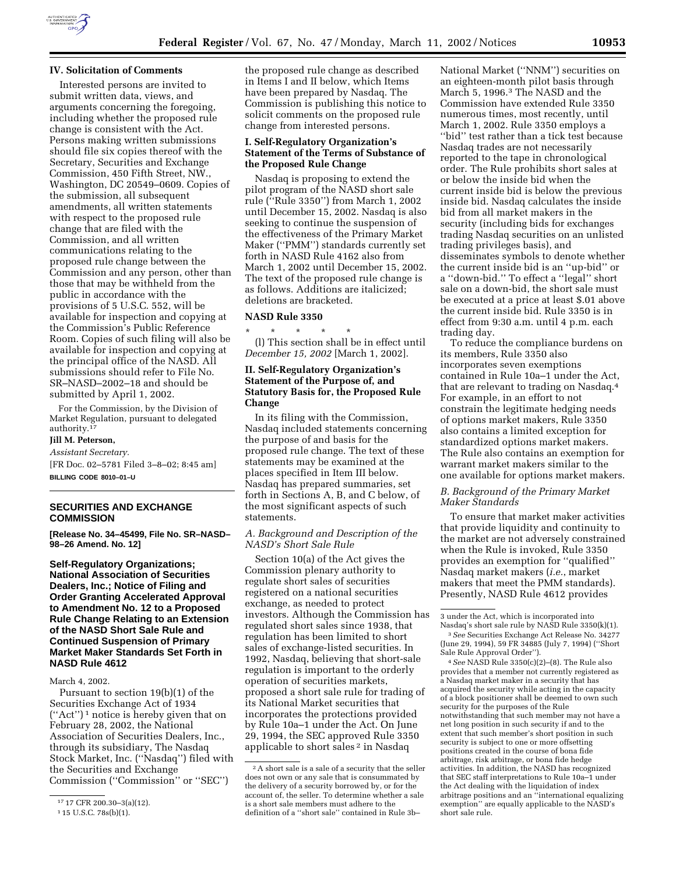

### **IV. Solicitation of Comments**

Interested persons are invited to submit written data, views, and arguments concerning the foregoing, including whether the proposed rule change is consistent with the Act. Persons making written submissions should file six copies thereof with the Secretary, Securities and Exchange Commission, 450 Fifth Street, NW., Washington, DC 20549–0609. Copies of the submission, all subsequent amendments, all written statements with respect to the proposed rule change that are filed with the Commission, and all written communications relating to the proposed rule change between the Commission and any person, other than those that may be withheld from the public in accordance with the provisions of 5 U.S.C. 552, will be available for inspection and copying at the Commission's Public Reference Room. Copies of such filing will also be available for inspection and copying at the principal office of the NASD. All submissions should refer to File No. SR–NASD–2002–18 and should be submitted by April 1, 2002.

For the Commission, by the Division of Market Regulation, pursuant to delegated authority.17

### **Jill M. Peterson,**

### *Assistant Secretary.*

[FR Doc. 02–5781 Filed 3–8–02; 8:45 am] **BILLING CODE 8010–01–U**

# **SECURITIES AND EXCHANGE COMMISSION**

**[Release No. 34–45499, File No. SR–NASD– 98–26 Amend. No. 12]**

**Self-Regulatory Organizations; National Association of Securities Dealers, Inc.; Notice of Filing and Order Granting Accelerated Approval to Amendment No. 12 to a Proposed Rule Change Relating to an Extension of the NASD Short Sale Rule and Continued Suspension of Primary Market Maker Standards Set Forth in NASD Rule 4612**

March 4, 2002.

Pursuant to section 19(b)(1) of the Securities Exchange Act of 1934  $("Act")^1$  notice is hereby given that on February 28, 2002, the National Association of Securities Dealers, Inc., through its subsidiary, The Nasdaq Stock Market, Inc. (''Nasdaq'') filed with the Securities and Exchange Commission (''Commission'' or ''SEC'')

the proposed rule change as described in Items I and II below, which Items have been prepared by Nasdaq. The Commission is publishing this notice to solicit comments on the proposed rule change from interested persons.

### **I. Self-Regulatory Organization's Statement of the Terms of Substance of the Proposed Rule Change**

Nasdaq is proposing to extend the pilot program of the NASD short sale rule (''Rule 3350'') from March 1, 2002 until December 15, 2002. Nasdaq is also seeking to continue the suspension of the effectiveness of the Primary Market Maker (''PMM'') standards currently set forth in NASD Rule 4162 also from March 1, 2002 until December 15, 2002. The text of the proposed rule change is as follows. Additions are italicized; deletions are bracketed.

#### **NASD Rule 3350**

\* \* \* \* \* (l) This section shall be in effect until *December 15, 2002* [March 1, 2002].

# **II. Self-Regulatory Organization's Statement of the Purpose of, and Statutory Basis for, the Proposed Rule Change**

In its filing with the Commission, Nasdaq included statements concerning the purpose of and basis for the proposed rule change. The text of these statements may be examined at the places specified in Item III below. Nasdaq has prepared summaries, set forth in Sections A, B, and C below, of the most significant aspects of such statements.

# *A. Background and Description of the NASD's Short Sale Rule*

Section 10(a) of the Act gives the Commission plenary authority to regulate short sales of securities registered on a national securities exchange, as needed to protect investors. Although the Commission has regulated short sales since 1938, that regulation has been limited to short sales of exchange-listed securities. In 1992, Nasdaq, believing that short-sale regulation is important to the orderly operation of securities markets, proposed a short sale rule for trading of its National Market securities that incorporates the protections provided by Rule 10a–1 under the Act. On June 29, 1994, the SEC approved Rule 3350 applicable to short sales 2 in Nasdaq

National Market (''NNM'') securities on an eighteen-month pilot basis through March 5, 1996.3 The NASD and the Commission have extended Rule 3350 numerous times, most recently, until March 1, 2002. Rule 3350 employs a ''bid'' test rather than a tick test because Nasdaq trades are not necessarily reported to the tape in chronological order. The Rule prohibits short sales at or below the inside bid when the current inside bid is below the previous inside bid. Nasdaq calculates the inside bid from all market makers in the security (including bids for exchanges trading Nasdaq securities on an unlisted trading privileges basis), and disseminates symbols to denote whether the current inside bid is an ''up-bid'' or a ''down-bid.'' To effect a ''legal'' short sale on a down-bid, the short sale must be executed at a price at least \$.01 above the current inside bid. Rule 3350 is in effect from 9:30 a.m. until 4 p.m. each trading day.

To reduce the compliance burdens on its members, Rule 3350 also incorporates seven exemptions contained in Rule 10a–1 under the Act, that are relevant to trading on Nasdaq.4 For example, in an effort to not constrain the legitimate hedging needs of options market makers, Rule 3350 also contains a limited exception for standardized options market makers. The Rule also contains an exemption for warrant market makers similar to the one available for options market makers.

#### *B. Background of the Primary Market Maker Standards*

To ensure that market maker activities that provide liquidity and continuity to the market are not adversely constrained when the Rule is invoked, Rule 3350 provides an exemption for ''qualified'' Nasdaq market makers (*i.e.*, market makers that meet the PMM standards). Presently, NASD Rule 4612 provides

provides that a member not currently registered as a Nasdaq market maker in a security that has acquired the security while acting in the capacity of a block positioner shall be deemed to own such security for the purposes of the Rule notwithstanding that such member may not have a net long position in such security if and to the extent that such member's short position in such security is subject to one or more offsetting positions created in the course of bona fide arbitrage, risk arbitrage, or bona fide hedge activities. In addition, the NASD has recognized that SEC staff interpretations to Rule 10a–1 under the Act dealing with the liquidation of index arbitrage positions and an ''international equalizing exemption'' are equally applicable to the NASD's short sale rule.

<sup>17</sup> 17 CFR 200.30–3(a)(12).

<sup>1</sup> 15 U.S.C. 78s(b)(1).

<sup>2</sup>A short sale is a sale of a security that the seller does not own or any sale that is consummated by the delivery of a security borrowed by, or for the account of, the seller. To determine whether a sale is a short sale members must adhere to the definition of a ''short sale'' contained in Rule 3b–

<sup>3</sup> under the Act, which is incorporated into Nasdaq's short sale rule by NASD Rule 3350(k)(1). 3*See* Securities Exchange Act Release No. 34277

<sup>(</sup>June 29, 1994), 59 FR 34885 (July 7, 1994) (''Short Sale Rule Approval Order''). 4*See* NASD Rule 3350(c)(2)–(8). The Rule also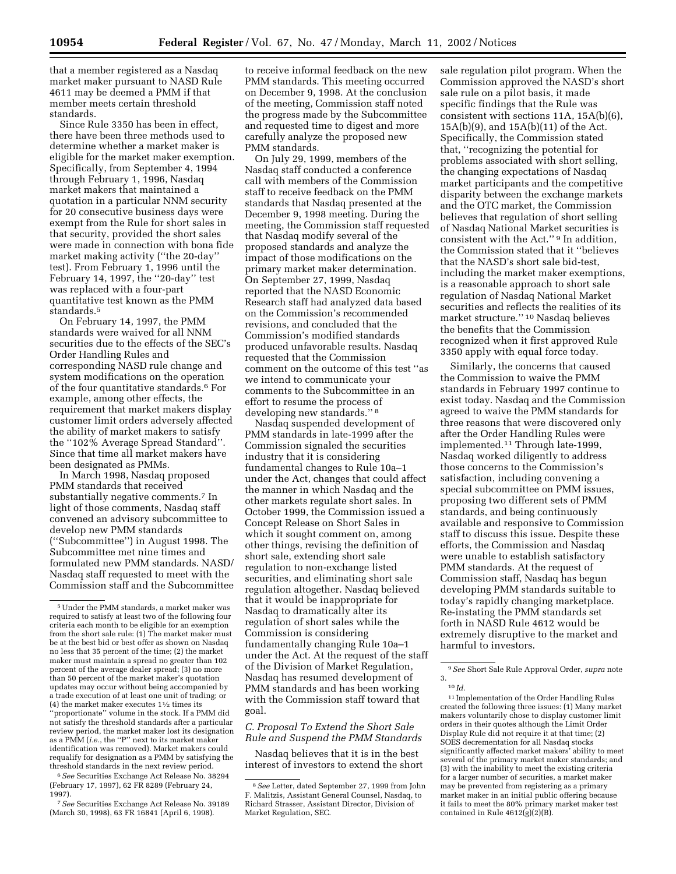that a member registered as a Nasdaq market maker pursuant to NASD Rule 4611 may be deemed a PMM if that member meets certain threshold standards.

Since Rule 3350 has been in effect, there have been three methods used to determine whether a market maker is eligible for the market maker exemption. Specifically, from September 4, 1994 through February 1, 1996, Nasdaq market makers that maintained a quotation in a particular NNM security for 20 consecutive business days were exempt from the Rule for short sales in that security, provided the short sales were made in connection with bona fide market making activity (''the 20-day'' test). From February 1, 1996 until the February 14, 1997, the ''20-day'' test was replaced with a four-part quantitative test known as the PMM standards.5

On February 14, 1997, the PMM standards were waived for all NNM securities due to the effects of the SEC's Order Handling Rules and corresponding NASD rule change and system modifications on the operation of the four quantitative standards.6 For example, among other effects, the requirement that market makers display customer limit orders adversely affected the ability of market makers to satisfy the ''102% Average Spread Standard''. Since that time all market makers have been designated as PMMs.

In March 1998, Nasdaq proposed PMM standards that received substantially negative comments.7 In light of those comments, Nasdaq staff convened an advisory subcommittee to develop new PMM standards (''Subcommittee'') in August 1998. The Subcommittee met nine times and formulated new PMM standards. NASD/ Nasdaq staff requested to meet with the Commission staff and the Subcommittee

review period, the market maker lost its designation as a PMM (*i.e.*, the ''P'' next to its market maker identification was removed). Market makers could requalify for designation as a PMM by satisfying the threshold standards in the next review period.

6*See* Securities Exchange Act Release No. 38294 (February 17, 1997), 62 FR 8289 (February 24, 1997).

7*See* Securities Exchange Act Release No. 39189 (March 30, 1998), 63 FR 16841 (April 6, 1998).

to receive informal feedback on the new PMM standards. This meeting occurred on December 9, 1998. At the conclusion of the meeting, Commission staff noted the progress made by the Subcommittee and requested time to digest and more carefully analyze the proposed new PMM standards.

On July 29, 1999, members of the Nasdaq staff conducted a conference call with members of the Commission staff to receive feedback on the PMM standards that Nasdaq presented at the December 9, 1998 meeting. During the meeting, the Commission staff requested that Nasdaq modify several of the proposed standards and analyze the impact of those modifications on the primary market maker determination. On September 27, 1999, Nasdaq reported that the NASD Economic Research staff had analyzed data based on the Commission's recommended revisions, and concluded that the Commission's modified standards produced unfavorable results. Nasdaq requested that the Commission comment on the outcome of this test ''as we intend to communicate your comments to the Subcommittee in an effort to resume the process of developing new standards.'' 8

Nasdaq suspended development of PMM standards in late-1999 after the Commission signaled the securities industry that it is considering fundamental changes to Rule 10a–1 under the Act, changes that could affect the manner in which Nasdaq and the other markets regulate short sales. In October 1999, the Commission issued a Concept Release on Short Sales in which it sought comment on, among other things, revising the definition of short sale, extending short sale regulation to non-exchange listed securities, and eliminating short sale regulation altogether. Nasdaq believed that it would be inappropriate for Nasdaq to dramatically alter its regulation of short sales while the Commission is considering fundamentally changing Rule 10a–1 under the Act. At the request of the staff of the Division of Market Regulation, Nasdaq has resumed development of PMM standards and has been working with the Commission staff toward that goal.

*C. Proposal To Extend the Short Sale Rule and Suspend the PMM Standards*

Nasdaq believes that it is in the best interest of investors to extend the short

sale regulation pilot program. When the Commission approved the NASD's short sale rule on a pilot basis, it made specific findings that the Rule was consistent with sections 11A, 15A(b)(6), 15A(b)(9), and 15A(b)(11) of the Act. Specifically, the Commission stated that, ''recognizing the potential for problems associated with short selling, the changing expectations of Nasdaq market participants and the competitive disparity between the exchange markets and the OTC market, the Commission believes that regulation of short selling of Nasdaq National Market securities is consistent with the Act.'' 9 In addition, the Commission stated that it ''believes that the NASD's short sale bid-test, including the market maker exemptions, is a reasonable approach to short sale regulation of Nasdaq National Market securities and reflects the realities of its market structure.'' 10 Nasdaq believes the benefits that the Commission recognized when it first approved Rule 3350 apply with equal force today.

Similarly, the concerns that caused the Commission to waive the PMM standards in February 1997 continue to exist today. Nasdaq and the Commission agreed to waive the PMM standards for three reasons that were discovered only after the Order Handling Rules were implemented.11 Through late-1999, Nasdaq worked diligently to address those concerns to the Commission's satisfaction, including convening a special subcommittee on PMM issues, proposing two different sets of PMM standards, and being continuously available and responsive to Commission staff to discuss this issue. Despite these efforts, the Commission and Nasdaq were unable to establish satisfactory PMM standards. At the request of Commission staff, Nasdaq has begun developing PMM standards suitable to today's rapidly changing marketplace. Re-instating the PMM standards set forth in NASD Rule 4612 would be extremely disruptive to the market and harmful to investors.

3.

11 Implementation of the Order Handling Rules created the following three issues: (1) Many market makers voluntarily chose to display customer limit orders in their quotes although the Limit Order Display Rule did not require it at that time; (2) SOES decrementation for all Nasdaq stocks significantly affected market makers' ability to meet several of the primary market maker standards; and (3) with the inability to meet the existing criteria for a larger number of securities, a market maker may be prevented from registering as a primary market maker in an initial public offering because it fails to meet the 80% primary market maker test contained in Rule  $4612(g)(2)(B)$ .

<sup>5</sup>Under the PMM standards, a market maker was required to satisfy at least two of the following four criteria each month to be eligible for an exemption from the short sale rule: (1) The market maker must be at the best bid or best offer as shown on Nasdaq no less that 35 percent of the time; (2) the market maker must maintain a spread no greater than 102 percent of the average dealer spread; (3) no more than 50 percent of the market maker's quotation updates may occur without being accompanied by a trade execution of at least one unit of trading; or (4) the market maker executes 11⁄2 times its ''proportionate'' volume in the stock. If a PMM did not satisfy the threshold standards after a particular

<sup>8</sup>*See* Letter, dated September 27, 1999 from John F. Malitzis, Assistant General Counsel, Nasdaq, to Richard Strasser, Assistant Director, Division of Market Regulation, SEC.

<sup>9</sup>*See* Short Sale Rule Approval Order, *supra* note

<sup>10</sup> *Id.*